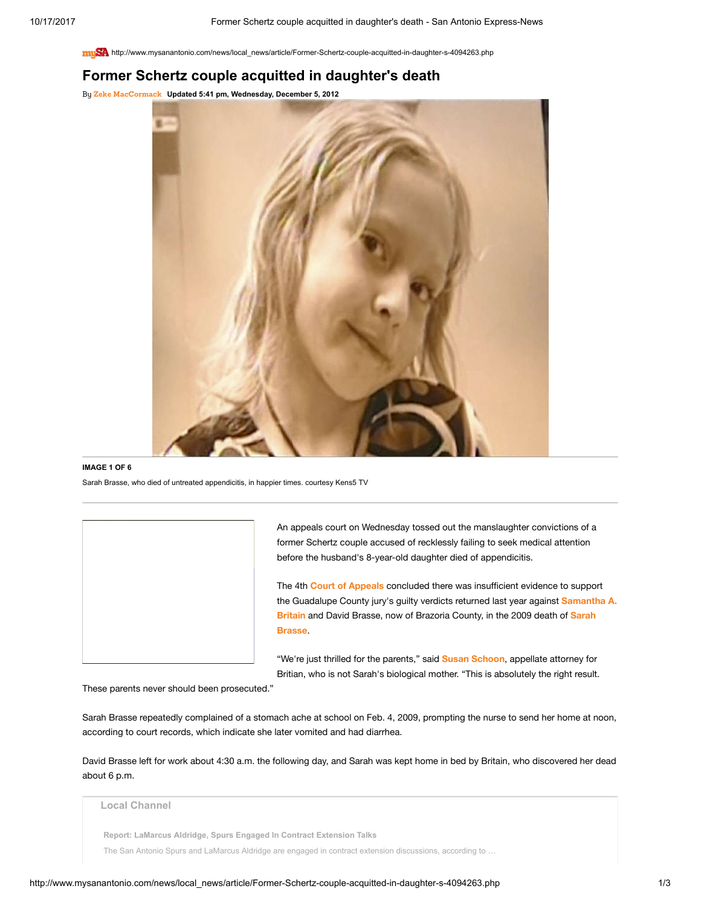http://www.mysanantonio.com/news/local\_news/article/Former-Schertz-couple-acquitted-in-daughter-s-4094263.php

## Former Schertz couple acquitted in daughter's death

By [Zeke MacCormack](http://www.mysanantonio.com/author/zeke-maccormack/) Updated 5:41 pm, Wednesday, December 5, 2012



## IMAGE 1 OF 6

Sarah Brasse, who died of untreated appendicitis, in happier times. courtesy Kens5 TV

An appeals court on Wednesday tossed out the manslaughter convictions of a former Schertz couple accused of recklessly failing to seek medical attention before the husband's 8-year-old daughter died of appendicitis.

The 4th Court of [Appeals](http://www.mysanantonio.com/search/?action=search&channel=news%2Flocal&inlineLink=1&searchindex=solr&query=%22Court+of+Appeals%22) concluded there was insufficient evidence to support the Guadalupe [County jury's guilty verdicts returned](http://www.mysanantonio.com/search/?action=search&channel=news%2Flocal&inlineLink=1&searchindex=solr&query=%22Samantha+A.+Britain%22) last year against Samantha A. Britain and David Brasse, now of [Brazoria](http://www.mysanantonio.com/search/?action=search&channel=news%2Flocal&inlineLink=1&searchindex=solr&query=%22Sarah+Brasse%22) County, in the 2009 death of Sarah Brasse.

"We're just thrilled for the parents," said **Susan [Schoon](http://www.mysanantonio.com/search/?action=search&channel=news%2Flocal&inlineLink=1&searchindex=solr&query=%22Susan+Schoon%22)**, appellate attorney for Britian, who is not Sarah's biological mother. "This is absolutely the right result.

These parents never should been prosecuted."

Sarah Brasse repeatedly complained of a stomach ache at school on Feb. 4, 2009, prompting the nurse to send her home at noon, according to court records, which indicate she later vomited and had diarrhea.

David Brasse left for work about 4:30 a.m. the following day, and Sarah was kept home in bed by Britain, who discovered her dead about 6 p.m.

Local Channel

Report: LaMarcus Aldridge, Spurs Engaged In Contract Extension Talks

The San Antonio Spurs and LaMarcus Aldridge are engaged in contract extension discussions, according to …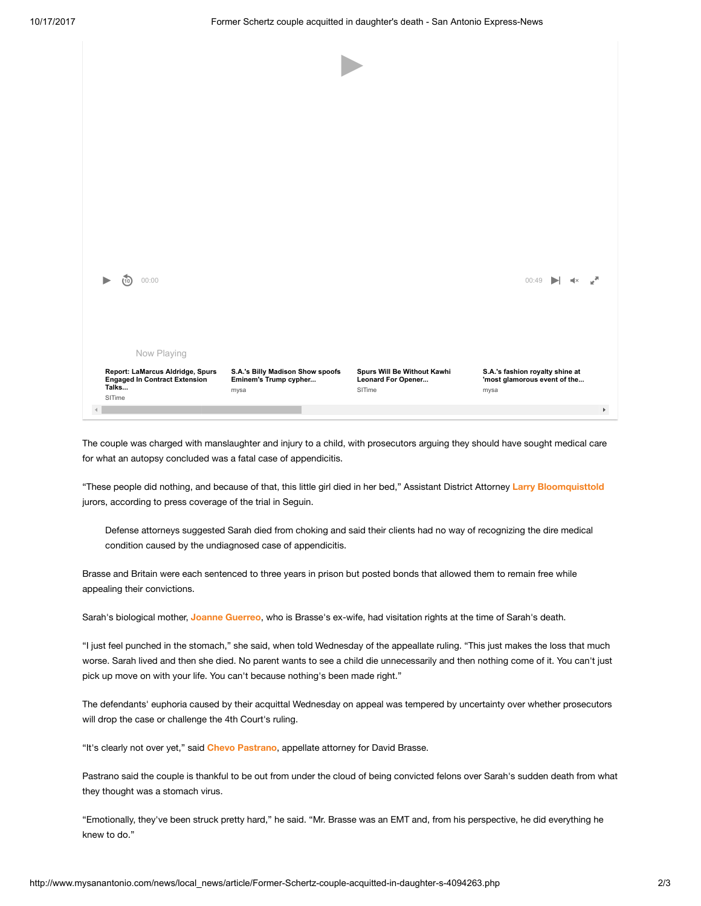| Now Playing<br>Report: LaMarcus Aldridge, Spurs<br><b>Engaged In Contract Extension</b> | S.A.'s Billy Madison Show spoofs<br>Eminem's Trump cypher | Spurs Will Be Without Kawhi<br>Leonard For Opener | S.A.'s fashion royalty shine at<br>'most glamorous event of the |
|-----------------------------------------------------------------------------------------|-----------------------------------------------------------|---------------------------------------------------|-----------------------------------------------------------------|
|                                                                                         |                                                           |                                                   |                                                                 |
|                                                                                         |                                                           |                                                   |                                                                 |
|                                                                                         |                                                           |                                                   |                                                                 |
| 00:00<br>10                                                                             |                                                           |                                                   | 00:49                                                           |
|                                                                                         |                                                           |                                                   |                                                                 |
|                                                                                         |                                                           |                                                   |                                                                 |
|                                                                                         |                                                           |                                                   |                                                                 |
|                                                                                         |                                                           |                                                   |                                                                 |
|                                                                                         |                                                           |                                                   |                                                                 |

The couple was charged with manslaughter and injury to a child, with prosecutors arguing they should have sought medical care for what an autopsy concluded was a fatal case of appendicitis.

"These people did nothing, and because of that, this little girl died in her bed," Assistant District Attorney Larry [Bloomquisttold](http://www.mysanantonio.com/search/?action=search&channel=news%2Flocal&inlineLink=1&searchindex=solr&query=%22Larry+Bloomquisttold%22) jurors, according to press coverage of the trial in Seguin.

Defense attorneys suggested Sarah died from choking and said their clients had no way of recognizing the dire medical condition caused by the undiagnosed case of appendicitis.

Brasse and Britain were each sentenced to three years in prison but posted bonds that allowed them to remain free while appealing their convictions.

Sarah's biological mother, Joanne [Guerreo](http://www.mysanantonio.com/search/?action=search&channel=news%2Flocal&inlineLink=1&searchindex=solr&query=%22Joanne+Guerreo%22), who is Brasse's ex-wife, had visitation rights at the time of Sarah's death.

"I just feel punched in the stomach," she said, when told Wednesday of the appeallate ruling. "This just makes the loss that much worse. Sarah lived and then she died. No parent wants to see a child die unnecessarily and then nothing come of it. You can't just pick up move on with your life. You can't because nothing's been made right."

The defendants' euphoria caused by their acquittal Wednesday on appeal was tempered by uncertainty over whether prosecutors will drop the case or challenge the 4th Court's ruling.

"It's clearly not over yet," said Chevo [Pastrano](http://www.mysanantonio.com/search/?action=search&channel=news%2Flocal&inlineLink=1&searchindex=solr&query=%22Chevo+Pastrano%22), appellate attorney for David Brasse.

Pastrano said the couple is thankful to be out from under the cloud of being convicted felons over Sarah's sudden death from what they thought was a stomach virus.

"Emotionally, they've been struck pretty hard," he said. "Mr. Brasse was an EMT and, from his perspective, he did everything he knew to do."